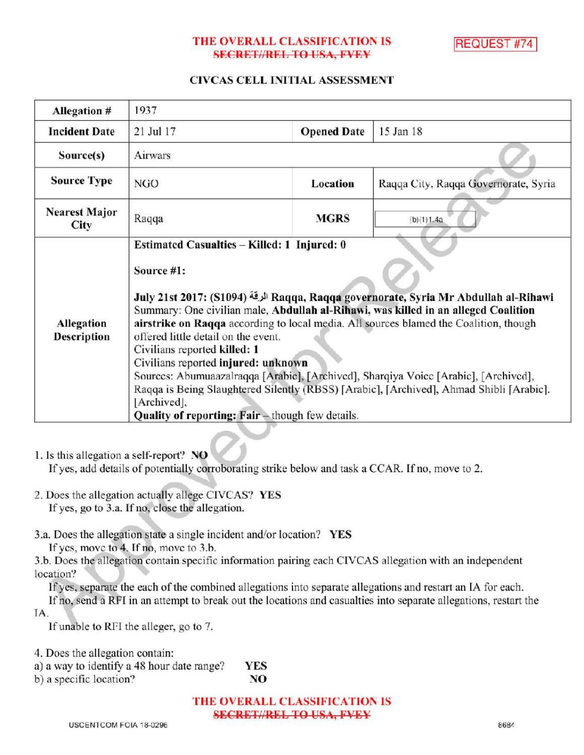# THE OVERALL CLASSIFICATION IS **SECRET//REL TO USA, FVEY**

**REQUEST #74** 

### CIVCAS CELL INITIAL ASSESSMENT

| Allegation #                     | 1937                                                                                                                                                                                                                                                                                                                                                                                                                                                                                                                                                                                                                                                                                               |                    |                                      |
|----------------------------------|----------------------------------------------------------------------------------------------------------------------------------------------------------------------------------------------------------------------------------------------------------------------------------------------------------------------------------------------------------------------------------------------------------------------------------------------------------------------------------------------------------------------------------------------------------------------------------------------------------------------------------------------------------------------------------------------------|--------------------|--------------------------------------|
| <b>Incident Date</b>             | 21 Jul 17                                                                                                                                                                                                                                                                                                                                                                                                                                                                                                                                                                                                                                                                                          | <b>Opened Date</b> | 15 Jan 18                            |
| Source(s)                        | Airwars                                                                                                                                                                                                                                                                                                                                                                                                                                                                                                                                                                                                                                                                                            |                    |                                      |
| <b>Source Type</b>               | NGO                                                                                                                                                                                                                                                                                                                                                                                                                                                                                                                                                                                                                                                                                                | Location           | Raqqa City, Raqqa Governorate, Syria |
| <b>Nearest Major</b><br>City     | Raqqa                                                                                                                                                                                                                                                                                                                                                                                                                                                                                                                                                                                                                                                                                              | <b>MGRS</b>        | (b)(1)1.4a                           |
| Allegation<br><b>Description</b> | Estimated Casualties - Killed: 1 Injured: 0<br>Source #1:<br>July 21st 2017: (S1094) الرقة Raqqa, Raqqa governorate, Syria Mr Abdullah al-Rihawi<br>Summary: One civilian male, Abdullah al-Rihawi, was killed in an alleged Coalition<br>airstrike on Raqqa according to local media. All sources blamed the Coalition, though<br>offered little detail on the event.<br>Civilians reported killed: 1<br>Civilians reported injured: unknown<br>Sources: Abumuaazalraqqa [Arabic], [Archived], Sharqiya Voice [Arabic], [Archived],<br>Raqqa is Being Slaughtered Silently (RBSS) [Arabic], [Archived], Ahmad Shibli [Arabic].<br>[Archived],<br>Quality of reporting: Fair - though few details. |                    |                                      |

1. Is this allegation a self-report? NO

If yes, add details of potentially corroborating strike below and task a CCAR. If no, move to 2.

- 2. Does the allegation actually allege CIVCAS? YES If yes, go to 3.a. If no, close the allegation.
- 3.a. Does the allegation state a single incident and/or location? YES

If yes, move to  $4$ . If no, move to  $3.b$ .

3.b. Does the allegation contain specific information pairing each CIVCAS allegation with an independent location?

Ifyes, separate the each of the combined allegations into separate allegations and restart an IA for each.

If no, send a RFI in an attempt to break out the locations and casualties into separate allegations, restart the IA

If unable to RFI the alleger, go to 7.

4. Does the allegation contain:

a) a way to identify a 48 hour date range? YES NO

b) a specific location?

THE OVERALL CLASSIFICATION IS SECRET//REL TO USA, FVEY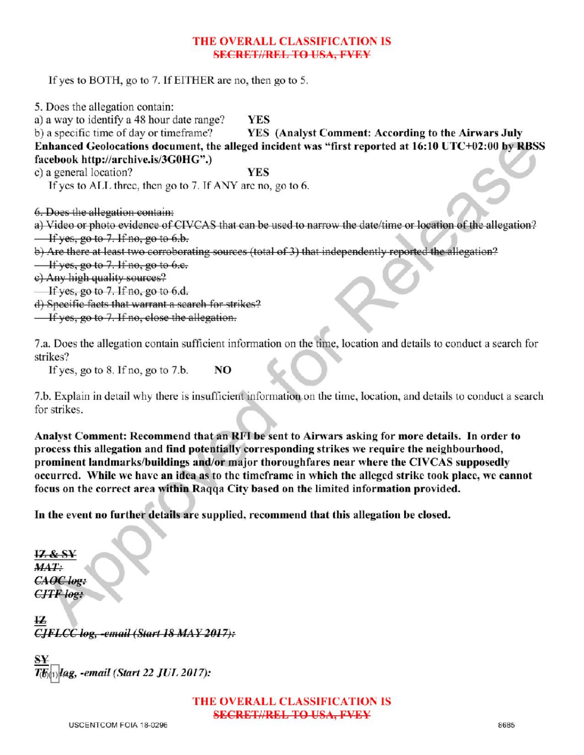## THE OVERALL CLASSIFICATION IS SECRETI/REL TO USA, EVEY

If yes to BOTH, go to 7. If EITHER are no, then go to 5.

5. Does the allegation contain:

a) a way to identify a 48 hour date range? YES<br>b) a specific time of day or timeframe? YES

YES (Analyst Comment: According to the Airwars July Enhanced Geolocations document, the alleged incident was "first reported at 16:10 UTC+02:00 by RBSS facebook http://archive.is/3G0HG".)

c) a general location? YES

If yes to ALL three, then go to 7. If ANY are no, go to  $6$ .

6. Does the allegation contain:

a) Video or photo evidence of CIVCAS that can be used to narrow the date/time or location of the allegation?  $\frac{1}{1}$  if yes, go to 7. If no, go to 6.b.

b) Are there at least two corroborating sources (total of 3) that independently reported the allegation?

 $\frac{1}{x}$  if yes, go to 7. If no, go to 6.e.

e) Any high quality sources?

Ifyes, go to 7. If no, go to 6.d.

d) Specific facts that warrant a search for strikes? If yes, go to 7. If no, go to 6.d.<br>If yes, go to 7. If no, go to 6.d.<br>Specific facts that warrant a search for strikes?<br>If yes, go to 7. If no, close the allegation.

7.a. Does the allegation contain sufficient information on the time, location and details to conduct a search for strikes?

If yes, go to  $8$ . If no, go to  $7.b.$  NO

7.b. Explainin detailwhy there is insufficientinformationon the time, location, and details to conduct <sup>a</sup> search for strikes.

Analyst Comment: Recommend that an RFI be sent to Airwars asking for more details. In order to process this allegation and find potentially corresponding strikes we require the neighbourhood, prominent landmarks/buildings and/or major thoroughfares near where the CIVCAS supposedly occurred. While we have an idea as to the timeframe in which the alleged strike took place, we cannot focus on the correct area within Raqqa City based on the limited information provided.

In the event no further details are supplied, recommend that this allegation be closed.

12 & SY  $MAT:$ CAOC log:  $CJTF$  log:

IZ  $CIFLCC$  log, -email (Start 18 MAY 2017):

¥ Iag, -email (Start 22 JUL 2017):

> THE OVERALL CLASSIFICATION IS SECRET//REL TO USA, FVEY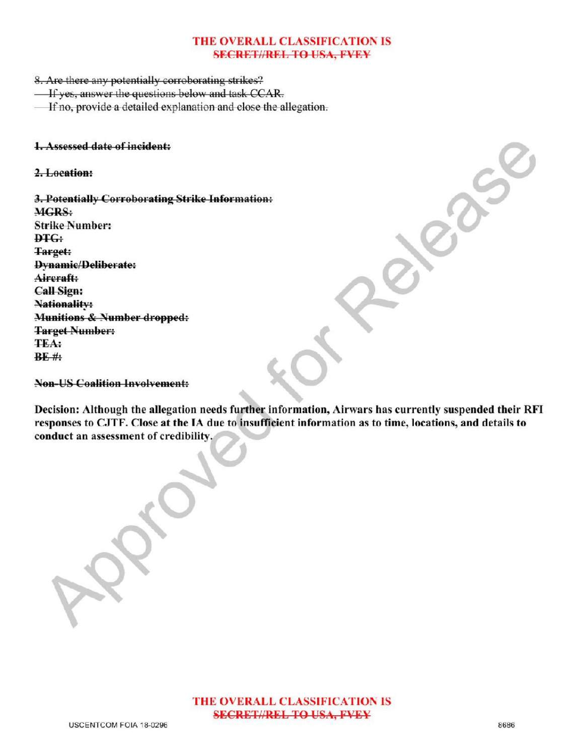# THE OVERALL CLASSIFICATION IS **SECRET//REL TO USA, FVEY**

8. Are there any potentially corroborating strikes?

- **If yes, answer the questions below and task CCAR.**
- If no, provide a detailed explanation and close the allegation.

#### 1.Assessed date of incident:

2.Location:

3. Potentially Corroborating Strike Information: MGRS: **Strike Number: DTG:** Target: Dynamic/Deliberate: Aircraft: Call Sign: **Nationality:** Munitions & Number dropped: **Target Number:** TEA:  $BE$ # forRelease

Non-USCoalition Involvement:

Decision: Although the allegation needs further information, Airwars has currently suspended their RFI responses to CJTF. Close at the IA due to insufficient information as to time, locations, and details to conduct an assessment of credibility,

Approved